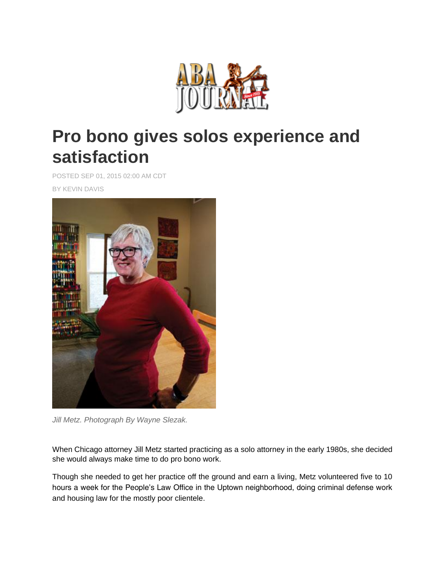

## **Pro bono gives solos experience and satisfaction**

POSTED SEP 01, 2015 02:00 AM CDT

BY KEVIN DAVIS



*Jill Metz. Photograph By Wayne Slezak.*

When Chicago attorney Jill Metz started practicing as a solo attorney in the early 1980s, she decided she would always make time to do pro bono work.

Though she needed to get her practice off the ground and earn a living, Metz volunteered five to 10 hours a week for the People's Law Office in the Uptown neighborhood, doing criminal defense work and housing law for the mostly poor clientele.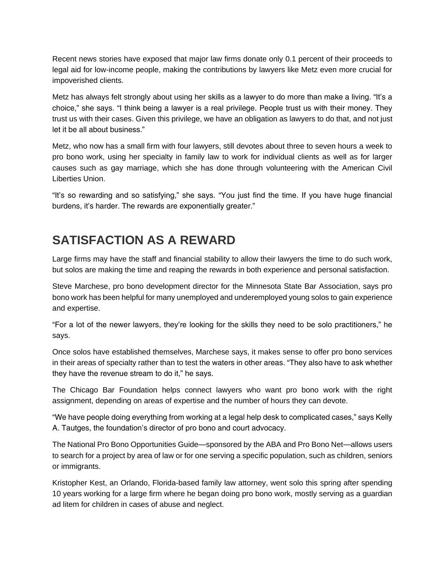Recent news stories have exposed that major law firms donate only 0.1 percent of their proceeds to legal aid for low-income people, making the contributions by lawyers like Metz even more crucial for impoverished clients.

Metz has always felt strongly about using her skills as a lawyer to do more than make a living. "It's a choice," she says. "I think being a lawyer is a real privilege. People trust us with their money. They trust us with their cases. Given this privilege, we have an obligation as lawyers to do that, and not just let it be all about business."

Metz, who now has a small firm with four lawyers, still devotes about three to seven hours a week to pro bono work, using her specialty in family law to work for individual clients as well as for larger causes such as gay marriage, which she has done through volunteering with the American Civil Liberties Union.

"It's so rewarding and so satisfying," she says. "You just find the time. If you have huge financial burdens, it's harder. The rewards are exponentially greater."

## **SATISFACTION AS A REWARD**

Large firms may have the staff and financial stability to allow their lawyers the time to do such work, but solos are making the time and reaping the rewards in both experience and personal satisfaction.

Steve Marchese, pro bono development director for the Minnesota State Bar Association, says pro bono work has been helpful for many unemployed and underemployed young solos to gain experience and expertise.

"For a lot of the newer lawyers, they're looking for the skills they need to be solo practitioners," he says.

Once solos have established themselves, Marchese says, it makes sense to offer pro bono services in their areas of specialty rather than to test the waters in other areas. "They also have to ask whether they have the revenue stream to do it," he says.

The Chicago Bar Foundation helps connect lawyers who want pro bono work with the right assignment, depending on areas of expertise and the number of hours they can devote.

"We have people doing everything from working at a legal help desk to complicated cases," says Kelly A. Tautges, the foundation's director of pro bono and court advocacy.

The National Pro Bono Opportunities Guide—sponsored by the ABA and Pro Bono Net—allows users to search for a project by area of law or for one serving a specific population, such as children, seniors or immigrants.

Kristopher Kest, an Orlando, Florida-based family law attorney, went solo this spring after spending 10 years working for a large firm where he began doing pro bono work, mostly serving as a guardian ad litem for children in cases of abuse and neglect.